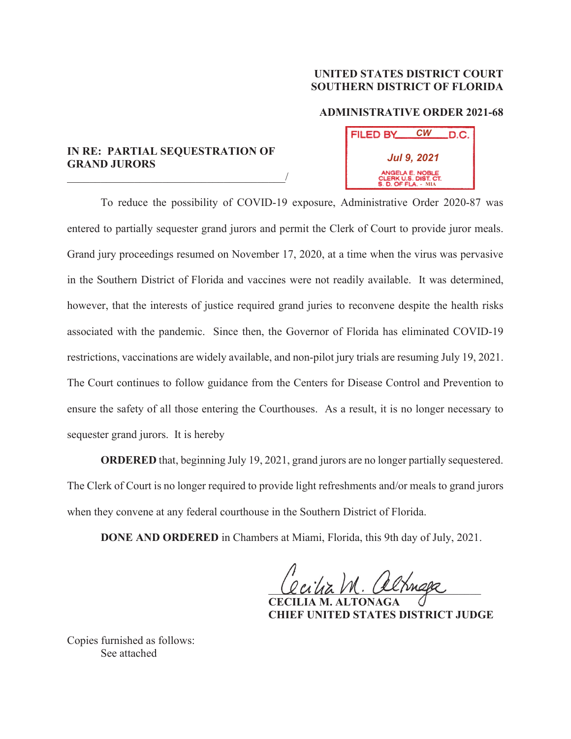## **UNITED STATES DISTRICT COURT SOUTHERN DISTRICT OF FLORIDA**

## **ADMINISTRATIVE ORDER 2021-68**

**FILED BY** 

*Jul 9, 2021*

ANGELA E. NOBLE<br>CLERK U.S. DIST. CT.<br>I. D. OF FLA. - MIA

*CW*

D.C.

## **IN RE: PARTIAL SEQUESTRATION OF GRAND JURORS**

 $\overline{\phantom{a}}$ 

To reduce the possibility of COVID-19 exposure, Administrative Order 2020-87 was entered to partially sequester grand jurors and permit the Clerk of Court to provide juror meals. Grand jury proceedings resumed on November 17, 2020, at a time when the virus was pervasive in the Southern District of Florida and vaccines were not readily available. It was determined, however, that the interests of justice required grand juries to reconvene despite the health risks associated with the pandemic. Since then, the Governor of Florida has eliminated COVID-19 restrictions, vaccinations are widely available, and non-pilot jury trials are resuming July 19, 2021. The Court continues to follow guidance from the Centers for Disease Control and Prevention to ensure the safety of all those entering the Courthouses. As a result, it is no longer necessary to sequester grand jurors. It is hereby

**ORDERED** that, beginning July 19, 2021, grand jurors are no longer partially sequestered. The Clerk of Court is no longer required to provide light refreshments and/or meals to grand jurors when they convene at any federal courthouse in the Southern District of Florida.

**DONE AND ORDERED** in Chambers at Miami, Florida, this 9th day of July, 2021.

Cecia Vn. Cecinage

 **CECILIA M. ALTONAGA CHIEF UNITED STATES DISTRICT JUDGE** 

Copies furnished as follows: See attached